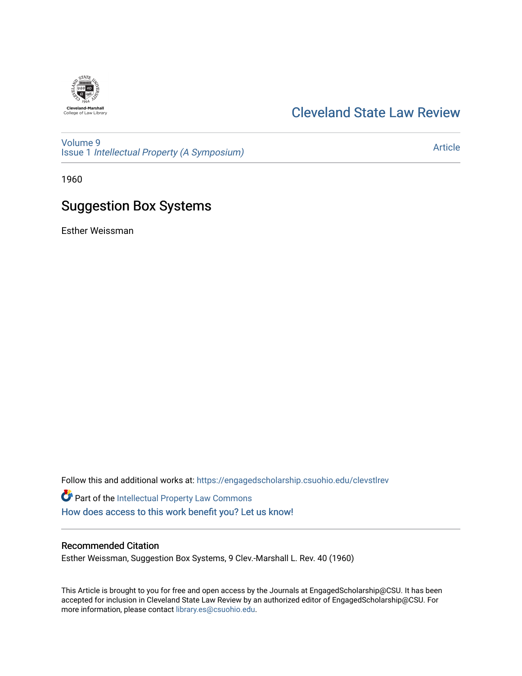

## [Cleveland State Law Review](https://engagedscholarship.csuohio.edu/clevstlrev)

## [Volume 9](https://engagedscholarship.csuohio.edu/clevstlrev/vol9) Issue 1 [Intellectual Property \(A Symposium\)](https://engagedscholarship.csuohio.edu/clevstlrev/vol9/iss1)

[Article](https://engagedscholarship.csuohio.edu/clevstlrev/vol9/iss1/8) 

1960

# Suggestion Box Systems

Esther Weissman

Follow this and additional works at: [https://engagedscholarship.csuohio.edu/clevstlrev](https://engagedscholarship.csuohio.edu/clevstlrev?utm_source=engagedscholarship.csuohio.edu%2Fclevstlrev%2Fvol9%2Fiss1%2F8&utm_medium=PDF&utm_campaign=PDFCoverPages)

Part of the [Intellectual Property Law Commons](http://network.bepress.com/hgg/discipline/896?utm_source=engagedscholarship.csuohio.edu%2Fclevstlrev%2Fvol9%2Fiss1%2F8&utm_medium=PDF&utm_campaign=PDFCoverPages)  [How does access to this work benefit you? Let us know!](http://library.csuohio.edu/engaged/)

## Recommended Citation

Esther Weissman, Suggestion Box Systems, 9 Clev.-Marshall L. Rev. 40 (1960)

This Article is brought to you for free and open access by the Journals at EngagedScholarship@CSU. It has been accepted for inclusion in Cleveland State Law Review by an authorized editor of EngagedScholarship@CSU. For more information, please contact [library.es@csuohio.edu](mailto:library.es@csuohio.edu).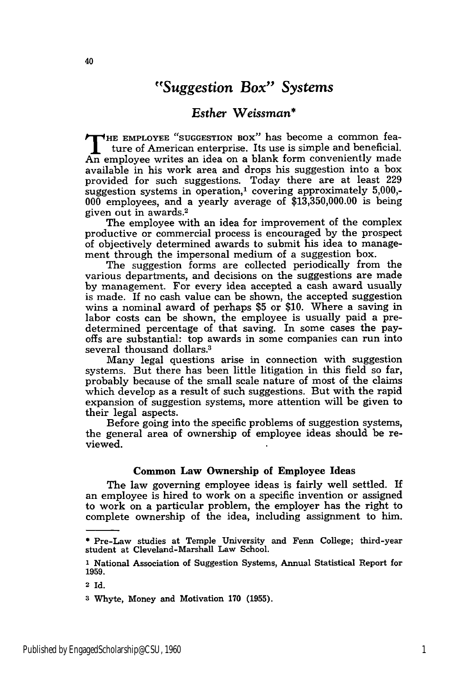## *"Suggestion Box" Systems*

## *Esther Weissman\**

**T HE EMPLOYEE "CSUGGESTION BOX"** has become a common feature of American enterprise. Its use is simple and beneficial. An employee writes an idea on a blank form conveniently made available in his work area and drops his suggestion into a box provided for such suggestions. Today there are at least **229** suggestion systems in operation,<sup>1</sup> covering approximately 5,000,-**000** employees, and a yearly average of **\$13,350,000.00** is being given out in awards.<sup>2</sup>

The employee with an idea for improvement of the complex productive or commercial process is encouraged **by** the prospect of objectively determined awards to submit his idea to management through the impersonal medium of a suggestion box.

The suggestion forms are collected periodically from the various departments, and decisions on the suggestions are made **by** management. For every idea accepted a cash award usually is made. If no cash value can be shown, the accepted suggestion wins a nominal award of perhaps **\$5** or **\$10.** Where a saving in labor costs can be shown, the employee is usually paid a predetermined percentage of that saving. In some cases the payoffs are substantial: top awards in some companies can run into several thousand dollars.<sup>3</sup>

Many legal questions arise in connection with suggestion systems. But there has been little litigation in this field so far, probably because of the small scale nature of most of the claims which develop as a result of such suggestions. But with the rapid expansion of suggestion systems, more attention will be given to their legal aspects.

Before going into the specific problems of suggestion systems, the general area of ownership of employee ideas should be reviewed.

#### Common Law Ownership of Employee Ideas

The law governing employee ideas is fairly well settled. If an employee is hired to work on a specific invention or assigned to work on a particular problem, the employer has the right to complete ownership of the idea, including assignment to him.

**<sup>\*</sup>** Pre-Law studies at Temple University and Fenn College; third-year student at Cleveland-Marshall Law School.

**<sup>1</sup>** National Association of Suggestion Systems, Annual Statistical Report for **1959.**

**<sup>2</sup>** Id.

**<sup>3</sup>** Whyte, Money and Motivation **170 (1955).**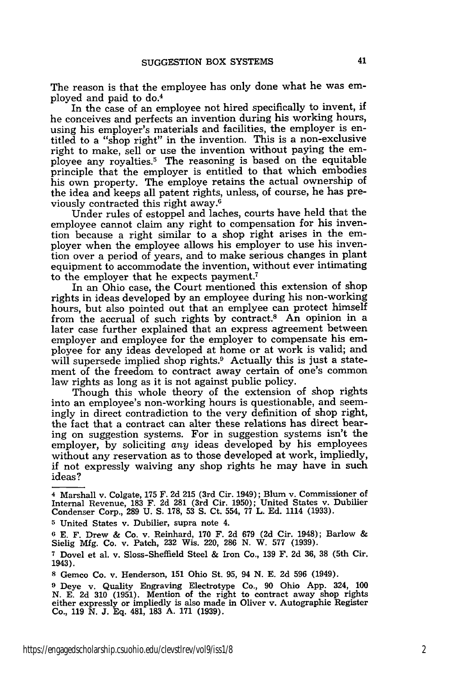The reason is that the employee has only done what he was employed and paid to do.4

In the case of an employee not hired specifically to invent, if he conceives and perfects an invention during his working hours, using his employer's materials and facilities, the employer is entitled to a "shop right" in the invention. This is a non-exclusive right to make, sell or use the invention without paying the employee any royalties.<sup>5</sup> The reasoning is based on the equitable principle that the employer is entitled to that which embodies his own property. The employe retains the actual ownership of the idea and keeps all patent rights, unless, of course, he has previously contracted this right away.<sup>6</sup>

Under rules of estoppel and laches, courts have held that the employee cannot claim any right to compensation for his invention because a right similar to a shop right arises in the employer when the employee allows his employer to use his invention over a period of years, and to make serious changes in plant equipment to accommodate the invention, without ever intimating to the employer that he expects payment.7

In an Ohio case, the Court mentioned this extension of shop rights in ideas developed by an employee during his non-working hours, but also pointed out that an emplyee can protect himself from the accrual of such rights by contract.8 An opinion in a later case further explained that an express agreement between employer and employee for the employer to compensate his employee for any ideas developed at home or at work is valid; and will supersede implied shop rights.<sup>9</sup> Actually this is just a statement of the freedom to contract away certain of one's common law rights as long as it is not against public policy.

Though this whole theory of the extension of shop rights into an employee's non-working hours is questionable, and seemingly in direct contradiction to the very definition of shop right, the fact that a contract can alter these relations has direct bearing on suggestion systems. For in suggestion systems isn't the employer, by soliciting any ideas developed by his employees without any reservation as to those developed at work, impliedly, if not expressly waiving any shop rights he may have in such ideas?

<sup>4</sup> Marshall v. Colgate, 175 F. 2d 215 (3rd Cir. 1949); Blum v. Commissioner of Internal Revenue, 183 F. 2d 281 (3rd Cir. 1950); United States v. Dubilier Condenser Corp., 289 U. **S.** 178, 53 **S.** Ct. 554, 77 L. Ed. 1114 (1933).

**<sup>5</sup>**United States v. Dubilier, supra note 4.

**<sup>6</sup>** E. F. Drew & Co. v. Reinhard, 170 F. 2d 679 (2d Cir. 1948); Barlow & Sielig Mfg. Co. v. Patch, 232 Wis. 220, 286 N. W. 577 (1939).

**<sup>7</sup>**Dovel et al. v. Sloss-Sheffield Steel & Iron Co., 139 F. 2d 36, 38 (5th Cir. 1943).

**<sup>8</sup>**Gemco Co. v. Henderson, **151** Ohio St. 95, 94 N. E. 2d 596 (1949).

**<sup>9</sup>** Deye v. Quality Engraving Electrotype Co., 90 Ohio App. 324, 100 N. E. 2d 310 (1951). Mention of the right to contract away shop rights either expressly or impliedly is also made in Oliver v. Autographic Register Co., 119 N. J. Eq. 481, 183 A. 171 (1939).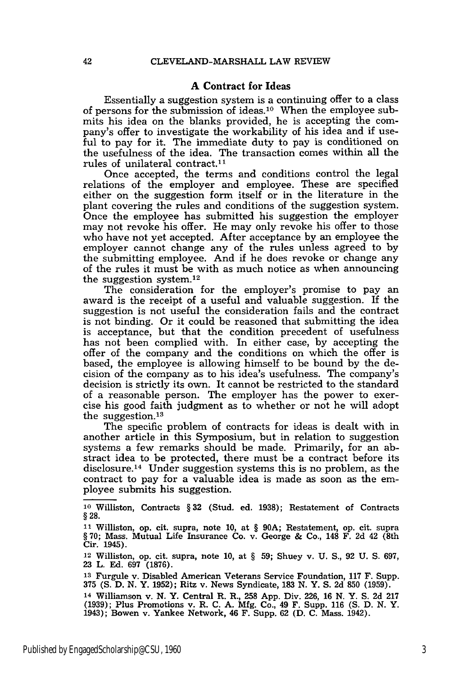### **A Contract for Ideas**

Essentially a suggestion system is a continuing offer to a class of persons for the submission of ideas. 10 When the employee submits his idea on the blanks provided, he is accepting the company's offer to investigate the workability of his idea and if useful to pay for it. The immediate duty to pay is conditioned on the usefulness of the idea. The transaction comes within all the rules of unilateral contract. $11$ 

Once accepted, the terms and conditions control the legal relations of the employer and employee. These are specified either on the suggestion form itself or in the literature in the plant covering the rules and conditions of the suggestion system. Once the employee has submitted his suggestion the employer may not revoke his offer. He may only revoke his offer to those who have not yet accepted. After acceptance **by** an employee the employer cannot change any of the rules unless agreed to **by** the submitting employee. And if he does revoke or change any of the rules it must be with as much notice as when announcing the suggestion system.<sup>12</sup>

The consideration for the employer's promise to pay an award is the receipt of a useful and valuable suggestion. If the suggestion is not useful the consideration fails and the contract is not binding. Or it could be reasoned that submitting the idea is acceptance, but that the condition precedent of usefulness has not been complied with. In either case, by accepting the offer of the company and the conditions on which the offer is based, the employee is allowing himself to be bound by the decision of the company as to his idea's usefulness. The company's decision is strictly its own. It cannot be restricted to the standard of a reasonable person. The employer has the power to exercise his good faith judgment as to whether or not he will adopt the suggestion. $13$ 

The specific problem of contracts for ideas is dealt with in another article in this Symposium, but in relation to suggestion systems a few remarks should be made. Primarily, for an abstract idea to be protected, there must be a contract before its  $disclosure.<sup>14</sup> Under suggestion systems this is no problem, as the$ contract to pay for a valuable idea is made as soon as the employee submits his suggestion.

**<sup>10</sup>**Williston, Contracts **§32** (Stud. ed. **1938);** Restatement of Contracts **§ 28.**

**<sup>11</sup>**Williston, op. cit. supra, note **10,** at **§ 90A;** Restatement, op. cit. supra **§ 70;** Mass. Mutual Life Insurance Co. v. George **&** Co., 148 F. **2d** 42 (8th Cir. 1945).

**<sup>12</sup>**Williston, op. cit. supra, note **10,** at **§ 59;** Shuey v. **U. S., 92 U. S. 697, 23** L. **Ed. 697 (1876).**

**<sup>13</sup>**Furgule v. Disabled American Veterans Service Foundation, **117** F. Supp. **375 (S. D. N.** Y. **1952);** Ritz v. News Syndicate, **183 N.** Y. **S. 2d 850 (1959).**

**<sup>14</sup>**Williamson v. **N.** Y. Central R. R., **258 App.** Div. **226, 16 N.** Y. **S. 2d 217 (1939);** Plus Promotions v. R. **C. A. Mfg.** Co., 49 F. Supp. **116 (S. D. N.** Y. 1943); Bowen v. Yankee Network, 46 F. Supp. **62 (D. C.** Mass. 1942).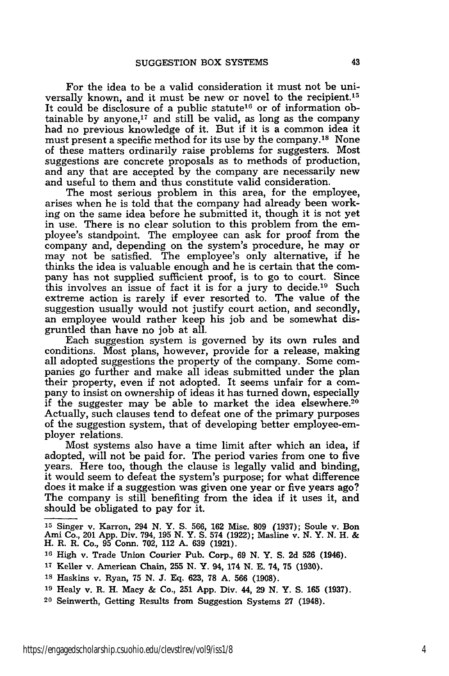For the idea to be a valid consideration it must not be universally known, and it must be new or novel to the recipient.<sup>15</sup> It could be disclosure of a public statute<sup>16</sup> or of information obtainable by anyone,<sup>17</sup> and still be valid, as long as the company had no previous knowledge of it. But if it is a common idea it must present a specific method for its use by the company.<sup>18</sup> None of these matters ordinarily raise problems for suggesters. Most suggestions are concrete proposals as to methods of production, and any that are accepted by the company are necessarily new and useful to them and thus constitute valid consideration.

The most serious problem in this area, for the employee, arises when he is told that the company had already been working on the same idea before he submitted it, though it is not yet in use. There is no clear solution to this problem from the employee's standpoint. The employee can ask for proof from the company and, depending on the system's procedure, he may or may not be satisfied. The employee's only alternative, if he thinks the idea is valuable enough and he is certain that the company has not supplied sufficient proof, is to go to court. Since this involves an issue of fact it is for a jury to decide.<sup>19</sup> Such extreme action is rarely if ever resorted to. The value of the suggestion usually would not justify court action, and secondly, an employee would rather keep his job and be somewhat disgruntled than have no job at all.

Each suggestion system is governed by its own rules and conditions. Most plans, however, provide for a release, making all adopted suggestions the property of the company. Some companies go further and make all ideas submitted under the plan their property, even if not adopted. It seems unfair for a company to insist on ownership of ideas it has turned down, especially if the suggester may be able to market the idea elsewhere.<sup>20</sup> Actually, such clauses tend to defeat one of the primary purposes of the suggestion system, that of developing better employee-employer relations.

Most systems also have a time limit after which an idea, if adopted, will not be paid for. The period varies from one to five years. Here too, though the clause is legally valid and binding, it would seem to defeat the system's purpose; for what difference does it make if a suggestion was given one year or five years ago? The company is still benefiting from the idea if it uses it, and should be obligated to pay for it.

**<sup>15</sup>**Singer v. Karron, 294 N. Y. **S.** 566, 162 Misc. 809 (1937); Soule v. Bon Ami Co., 201 App. Div. 794, 195 N. Y. **S.** 574 (1922); Masline v. N. Y. N. H. & H. R. R. Co., 95 Conn. 702, 112 A. 639 (1921).

**<sup>16</sup>**High v. Trade Union Courier Pub. Corp., 69 N. Y. S. 2d 526 (1946).

**<sup>17</sup>**Keller v. American Chain, 255 N. Y. 94, 174 **N.** E. 74, 75 (1930).

**ls** Haskins v. Ryan, 75 N. J. Eq. 623, 78 A. 566 (1908).

**<sup>19</sup>**Healy v. R. H. Macy & Co., 251 App. Div. 44, 29 N. Y. **S.** 165 (1937).

**<sup>20</sup>** Seinwerth, Getting Results from Suggestion Systems 27 (1948).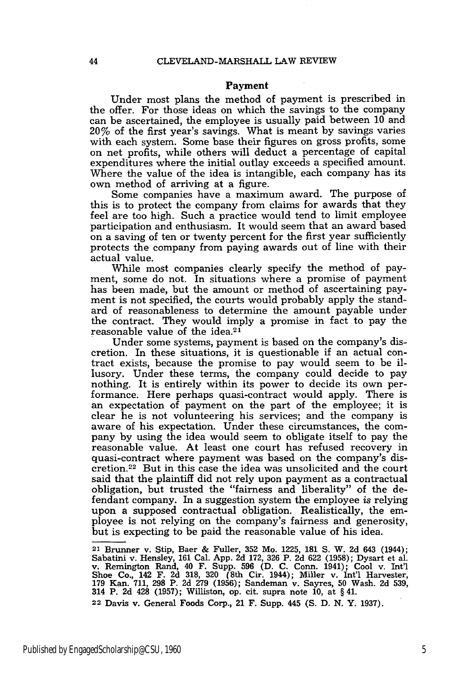#### **Payment**

Under most plans the method of payment is prescribed in the offer. For those ideas on which the savings to the company can be ascertained, the employee is usually paid between 10 and 20% of the first year's savings. What is meant by savings varies with each system. Some base their figures on gross profits, some on net profits, while others will deduct a percentage of capital expenditures where the initial outlay exceeds a specified amount. Where the value of the idea is intangible, each company has its own method of arriving at a figure.

Some companies have a maximum award. The purpose of this is to protect the company from claims for awards that they feel are too high. Such a practice would tend to limit employee participation and enthusiasm. It would seem that an award based on a saving of ten or twenty percent for the first year sufficiently protects the company from paying awards out of line with their actual value.

While most companies clearly specify the method of payment, some do not. In situations where a promise of payment has been made, but the amount or method of ascertaining payment is not specified, the courts would probably apply the standard of reasonableness to determine the amount payable under the contract. They would imply a promise in fact to pay the reasonable value of the idea.<sup>21</sup>

Under some systems, payment is based on the company's discretion. In these situations, it is questionable if an actual contract exists, because the promise to pay would seem to be illusory. Under these terms, the company could decide to pay nothing. It is entirely within its power to decide its own performance. Here perhaps quasi-contract would apply. There is an expectation of payment on the part of the employee; it is clear he is not volunteering his services; and the company is aware of his expectation. Under these circumstances, the company by using the idea would seem to obligate itself to pay the reasonable value. At least one court has refused recovery in quasi-contract where payment was based on the company's discretion. 22 But in this case the idea was unsolicited and the court said that the plaintiff did not rely upon payment as a contractual obligation, but trusted the "fairness and liberality" of the defendant company. In a suggestion system the employee is relying upon a supposed contractual obligation. Realistically, the employee is not relying on the company's fairness and generosity, but is expecting to be paid the reasonable value of his idea.

**<sup>21</sup>** Brunner v. Stip, Baer & Fuller, **352** Mo. **1225,** 181 **S.** W. **2d** 643 (1944); Sabatini v. Hensley, **161** Cal. App. 2d 172, **326** P. 2d **622 (1958);** Dysart et al. v. Remington Rand, 40 F. Supp. **596** (D. C. Conn. 1941); Cool v. Int'l Shoe Co., 142 F. 2d **318, 320** (8th Cir. 1944); Miller v. Int'l Harvester, 179 Kan. 711, **298** P. 2d **279** (1956); Sandeman v. Sayres, **50** Wash. **2d** 539, 314 P. 2d 428 (1957); Williston, op. cit. supra note 10, at **§** 41.

**<sup>22</sup>** Davis v. General Foods Corp., 21 F. Supp. 445 (S. D. **N.** Y. 1937).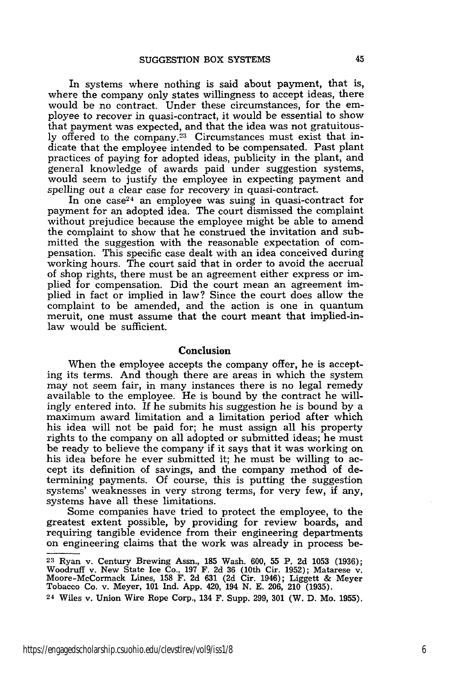In systems where nothing is said about payment, that is, where the company only states willingness to accept ideas, there would be no contract. Under these circumstances, for the employee to recover in quasi-contract, it would be essential to show that payment was expected, and that the idea was not gratuitously offered to the company.<sup>23</sup> Circumstances must exist that indicate that the employee intended to be compensated. Past plant practices of paying for adopted ideas, publicity in the plant, and general knowledge of awards paid under suggestion systems, would seem to justify the employee in expecting payment and spelling out a clear case for recovery in quasi-contract.

In one case<sup>24</sup> an employee was suing in quasi-contract for payment for an adopted idea. The court dismissed the complaint without prejudice because the employee might be able to amend the complaint to show that he construed the invitation and submitted the suggestion with the reasonable expectation of compensation. This specific case dealt with an idea conceived during working hours. The court said that in order to avoid the accrual of shop rights, there must be an agreement either express or implied for compensation. Did the court mean an agreement implied in fact or implied in law? Since the court does allow the complaint to be amended, and the action is one in quantum meruit, one must assume that the court meant that implied-inlaw would be sufficient.

#### **Conclusion**

When the employee accepts the company offer, he is accepting its terms. And though there are areas in which the system may not seem fair, in many instances there is no legal remedy available to the employee. He is bound by the contract he willingly entered into. If he submits his suggestion he is bound by a maximum award limitation and a limitation period after which his idea will not be paid for; he must assign all his property rights to the company on all adopted or submitted ideas; he must be ready to believe the company if it says that it was working on his idea before he ever submitted it; he must be willing to accept its definition of savings, and the company method of determining payments. Of course, this is putting the suggestion systems' weaknesses in very strong terms, for very few, if any, systems have all these limitations.

Some companies have tried to protect the employee, to the greatest extent possible, by providing for review boards, and requiring tangible evidence from their engineering departments on engineering claims that the work was already in process be-

**<sup>23</sup>** Ryan v. Century Brewing Assn., **185** Wash. **600, 55** P. **2d 1053 (1936);** Woodruff v. New State Ice Co., 197 F. 2d 36 (10th Cir. 1952); Matarese v.<br>Moore-McCormack Lines, 158 F. 2d 631 (2d Cir. 1946); Liggett & Meyer<br>Tobacco Co. v. Meyer, 101 Ind. App. 420, 194 N. E. 206, 210 (1935).

<sup>24</sup> Wiles v. Union Wire Rope Corp., 134 F. Supp. **299, 301** (W. **D.** Mo. **1955).**